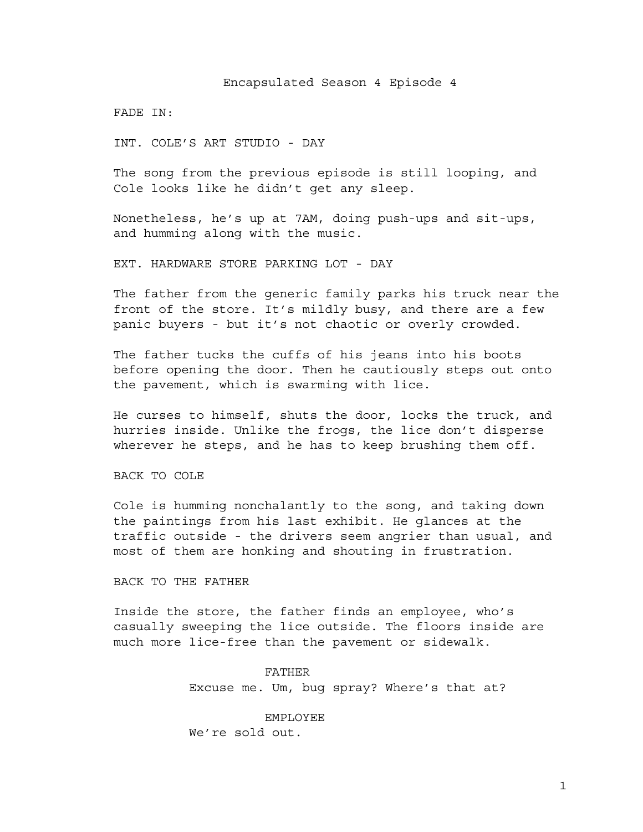FADE IN:

INT. COLE'S ART STUDIO - DAY

The song from the previous episode is still looping, and Cole looks like he didn't get any sleep.

Nonetheless, he's up at 7AM, doing push-ups and sit-ups, and humming along with the music.

EXT. HARDWARE STORE PARKING LOT - DAY

The father from the generic family parks his truck near the front of the store. It's mildly busy, and there are a few panic buyers - but it's not chaotic or overly crowded.

The father tucks the cuffs of his jeans into his boots before opening the door. Then he cautiously steps out onto the pavement, which is swarming with lice.

He curses to himself, shuts the door, locks the truck, and hurries inside. Unlike the frogs, the lice don't disperse wherever he steps, and he has to keep brushing them off.

BACK TO COLE

Cole is humming nonchalantly to the song, and taking down the paintings from his last exhibit. He glances at the traffic outside - the drivers seem angrier than usual, and most of them are honking and shouting in frustration.

BACK TO THE FATHER

Inside the store, the father finds an employee, who's casually sweeping the lice outside. The floors inside are much more lice-free than the pavement or sidewalk.

> FATHER Excuse me. Um, bug spray? Where's that at?

EMPLOYEE We're sold out.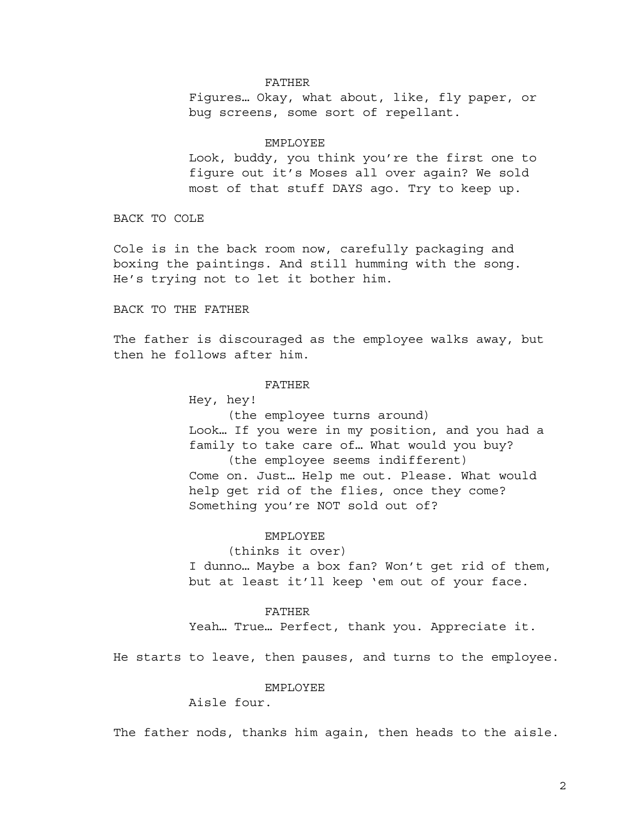### FATHER

Figures… Okay, what about, like, fly paper, or bug screens, some sort of repellant.

#### EMPLOYEE

Look, buddy, you think you're the first one to figure out it's Moses all over again? We sold most of that stuff DAYS ago. Try to keep up.

BACK TO COLE

Cole is in the back room now, carefully packaging and boxing the paintings. And still humming with the song. He's trying not to let it bother him.

BACK TO THE FATHER

The father is discouraged as the employee walks away, but then he follows after him.

# FATHER

Hey, hey!

(the employee turns around) Look… If you were in my position, and you had a family to take care of… What would you buy? (the employee seems indifferent) Come on. Just… Help me out. Please. What would help get rid of the flies, once they come? Something you're NOT sold out of?

### EMPLOYEE

(thinks it over)

I dunno… Maybe a box fan? Won't get rid of them, but at least it'll keep 'em out of your face.

# FATHER

Yeah… True… Perfect, thank you. Appreciate it.

He starts to leave, then pauses, and turns to the employee.

## EMPLOYEE

Aisle four.

The father nods, thanks him again, then heads to the aisle.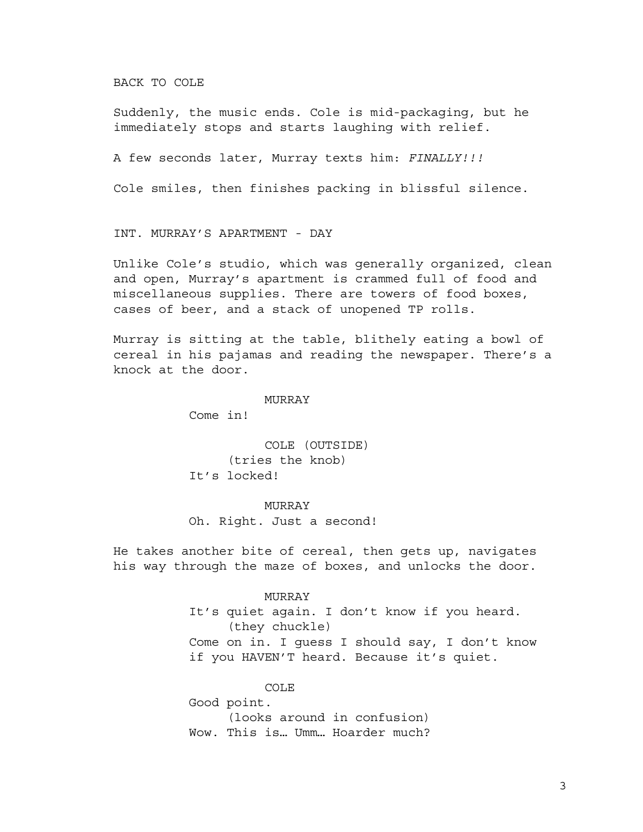BACK TO COLE

Suddenly, the music ends. Cole is mid-packaging, but he immediately stops and starts laughing with relief.

A few seconds later, Murray texts him: *FINALLY!!!*

Cole smiles, then finishes packing in blissful silence.

INT. MURRAY'S APARTMENT - DAY

Unlike Cole's studio, which was generally organized, clean and open, Murray's apartment is crammed full of food and miscellaneous supplies. There are towers of food boxes, cases of beer, and a stack of unopened TP rolls.

Murray is sitting at the table, blithely eating a bowl of cereal in his pajamas and reading the newspaper. There's a knock at the door.

MURRAY

Come in!

COLE (OUTSIDE) (tries the knob) It's locked!

MURRAY Oh. Right. Just a second!

He takes another bite of cereal, then gets up, navigates his way through the maze of boxes, and unlocks the door.

#### MURRAY

It's quiet again. I don't know if you heard. (they chuckle) Come on in. I guess I should say, I don't know if you HAVEN'T heard. Because it's quiet.

COLE

Good point. (looks around in confusion) Wow. This is… Umm… Hoarder much?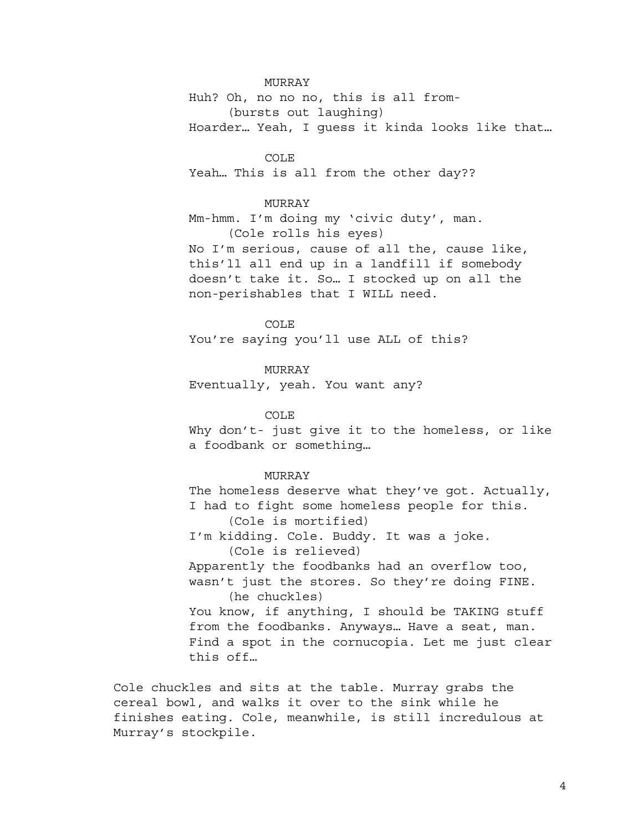Huh? Oh, no no no, this is all from- (bursts out laughing) Hoarder… Yeah, I guess it kinda looks like that…

COLE Yeah… This is all from the other day??

# MURRAY

Mm-hmm. I'm doing my 'civic duty', man. (Cole rolls his eyes) No I'm serious, cause of all the, cause like, this'll all end up in a landfill if somebody doesn't take it. So… I stocked up on all the non-perishables that I WILL need.

COLE You're saying you'll use ALL of this?

MURRAY Eventually, yeah. You want any?

### COLE

Why don't- just give it to the homeless, or like a foodbank or something…

# MURRAY

The homeless deserve what they've got. Actually, I had to fight some homeless people for this. (Cole is mortified) I'm kidding. Cole. Buddy. It was a joke. (Cole is relieved) Apparently the foodbanks had an overflow too, wasn't just the stores. So they're doing FINE. (he chuckles) You know, if anything, I should be TAKING stuff from the foodbanks. Anyways… Have a seat, man. Find a spot in the cornucopia. Let me just clear this off…

Cole chuckles and sits at the table. Murray grabs the cereal bowl, and walks it over to the sink while he finishes eating. Cole, meanwhile, is still incredulous at Murray's stockpile.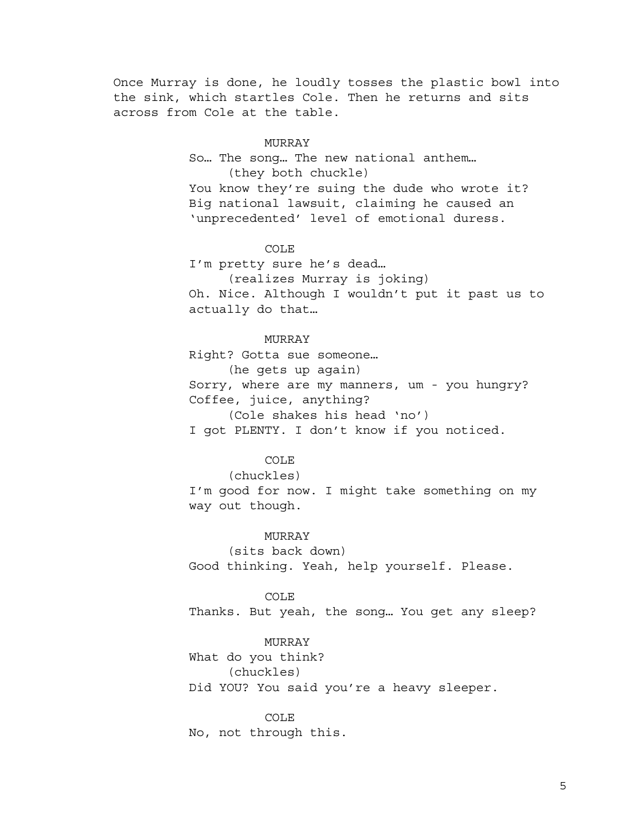Once Murray is done, he loudly tosses the plastic bowl into the sink, which startles Cole. Then he returns and sits across from Cole at the table.

### MURRAY

So… The song… The new national anthem… (they both chuckle) You know they're suing the dude who wrote it? Big national lawsuit, claiming he caused an 'unprecedented' level of emotional duress.

# COLE

I'm pretty sure he's dead…

(realizes Murray is joking)

Oh. Nice. Although I wouldn't put it past us to actually do that…

### MURRAY

Right? Gotta sue someone… (he gets up again) Sorry, where are my manners, um - you hungry? Coffee, juice, anything? (Cole shakes his head 'no')

I got PLENTY. I don't know if you noticed.

# COLE

(chuckles)

I'm good for now. I might take something on my way out though.

### MURRAY

(sits back down) Good thinking. Yeah, help yourself. Please.

## COLE

Thanks. But yeah, the song… You get any sleep?

# MURRAY

What do you think? (chuckles) Did YOU? You said you're a heavy sleeper.

COLE No, not through this.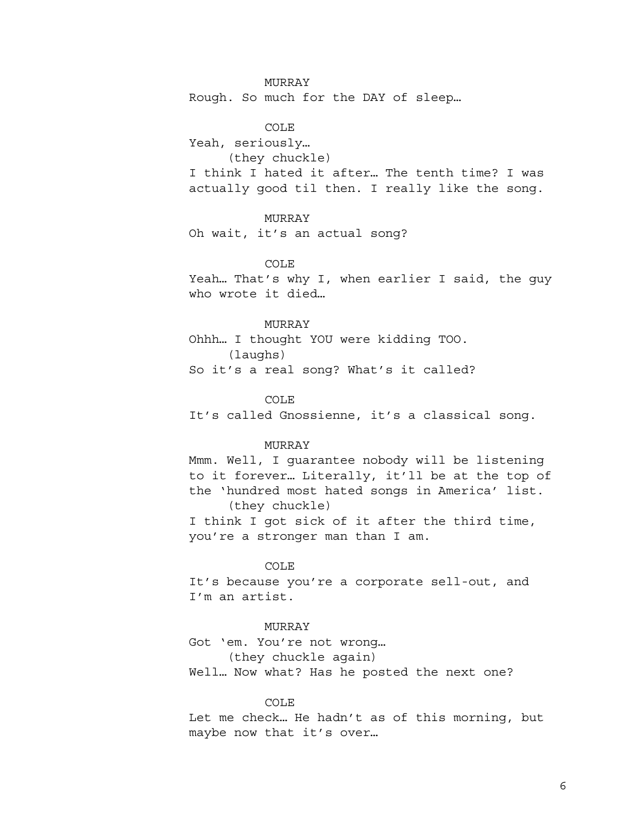Rough. So much for the DAY of sleep…

COLE Yeah, seriously… (they chuckle) I think I hated it after… The tenth time? I was actually good til then. I really like the song.

# MURRAY

Oh wait, it's an actual song?

# COLE

Yeah… That's why I, when earlier I said, the guy who wrote it died…

# MURRAY

Ohhh… I thought YOU were kidding TOO. (laughs) So it's a real song? What's it called?

### COLE

It's called Gnossienne, it's a classical song.

# MURRAY

Mmm. Well, I guarantee nobody will be listening to it forever… Literally, it'll be at the top of the 'hundred most hated songs in America' list. (they chuckle) I think I got sick of it after the third time, you're a stronger man than I am.

### COLE

It's because you're a corporate sell-out, and I'm an artist.

# MURRAY

Got 'em. You're not wrong… (they chuckle again) Well… Now what? Has he posted the next one?

## COLE

Let me check… He hadn't as of this morning, but maybe now that it's over…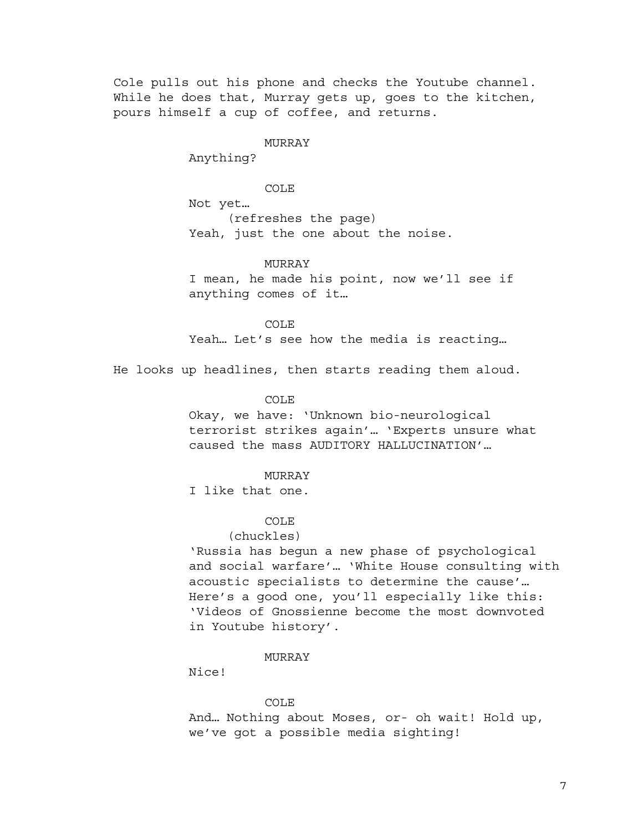Cole pulls out his phone and checks the Youtube channel. While he does that, Murray gets up, goes to the kitchen, pours himself a cup of coffee, and returns.

### MURRAY

Anything?

# COLE

Not yet… (refreshes the page) Yeah, just the one about the noise.

### MURRAY

I mean, he made his point, now we'll see if anything comes of it…

COLE Yeah… Let's see how the media is reacting…

He looks up headlines, then starts reading them aloud.

## COLE

Okay, we have: 'Unknown bio-neurological terrorist strikes again'… 'Experts unsure what caused the mass AUDITORY HALLUCINATION'…

### MURRAY

I like that one.

# COLE

#### (chuckles)

'Russia has begun a new phase of psychological and social warfare'… 'White House consulting with acoustic specialists to determine the cause'… Here's a good one, you'll especially like this: 'Videos of Gnossienne become the most downvoted in Youtube history'.

# MURRAY

Nice!

### COLE

And… Nothing about Moses, or- oh wait! Hold up, we've got a possible media sighting!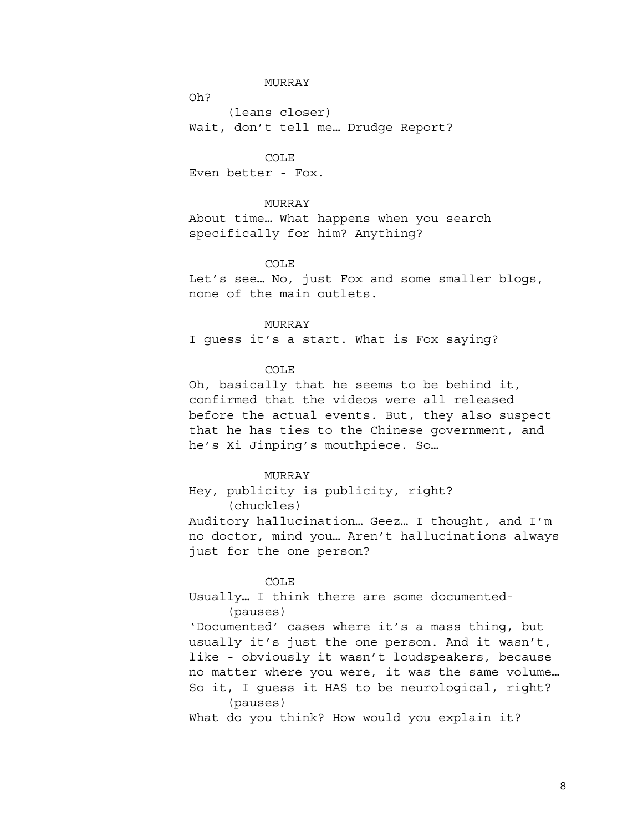Oh?

(leans closer) Wait, don't tell me… Drudge Report?

COLE Even better - Fox.

# MURRAY

About time… What happens when you search specifically for him? Anything?

# COLE

Let's see… No, just Fox and some smaller blogs, none of the main outlets.

### MURRAY

I guess it's a start. What is Fox saying?

# COLE

Oh, basically that he seems to be behind it, confirmed that the videos were all released before the actual events. But, they also suspect that he has ties to the Chinese government, and he's Xi Jinping's mouthpiece. So…

# MURRAY

Hey, publicity is publicity, right? (chuckles)

Auditory hallucination… Geez… I thought, and I'm no doctor, mind you… Aren't hallucinations always just for the one person?

#### COLE

Usually… I think there are some documented- (pauses)

'Documented' cases where it's a mass thing, but usually it's just the one person. And it wasn't, like - obviously it wasn't loudspeakers, because no matter where you were, it was the same volume… So it, I guess it HAS to be neurological, right? (pauses)

What do you think? How would you explain it?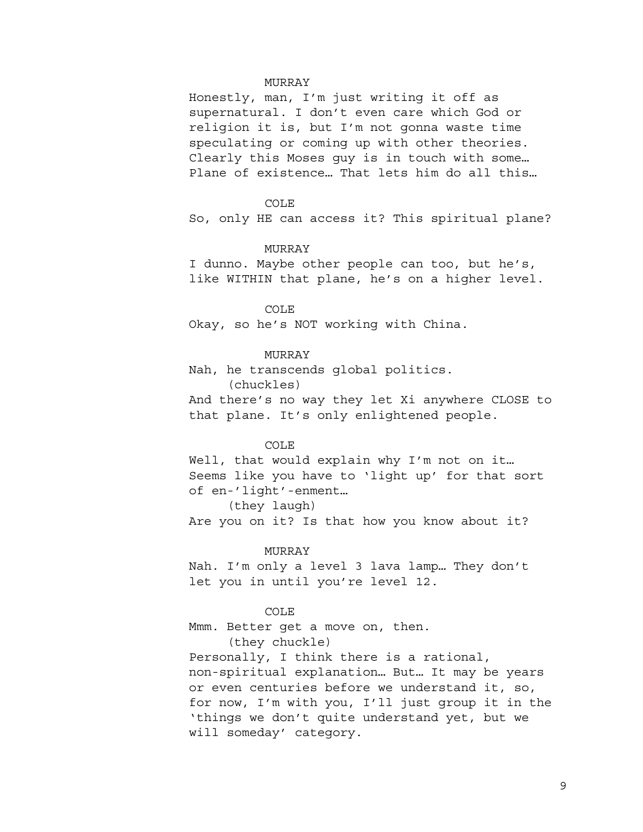Honestly, man, I'm just writing it off as supernatural. I don't even care which God or religion it is, but I'm not gonna waste time speculating or coming up with other theories. Clearly this Moses guy is in touch with some… Plane of existence… That lets him do all this…

#### COLE

So, only HE can access it? This spiritual plane?

# MURRAY

I dunno. Maybe other people can too, but he's, like WITHIN that plane, he's on a higher level.

## COLE

Okay, so he's NOT working with China.

# MURRAY

Nah, he transcends global politics. (chuckles) And there's no way they let Xi anywhere CLOSE to that plane. It's only enlightened people.

# COLE

Well, that would explain why I'm not on it... Seems like you have to 'light up' for that sort of en-'light'-enment… (they laugh)

Are you on it? Is that how you know about it?

#### MURRAY

Nah. I'm only a level 3 lava lamp… They don't let you in until you're level 12.

## COLE

Mmm. Better get a move on, then.

(they chuckle)

Personally, I think there is a rational, non-spiritual explanation… But… It may be years or even centuries before we understand it, so, for now, I'm with you, I'll just group it in the 'things we don't quite understand yet, but we will someday' category.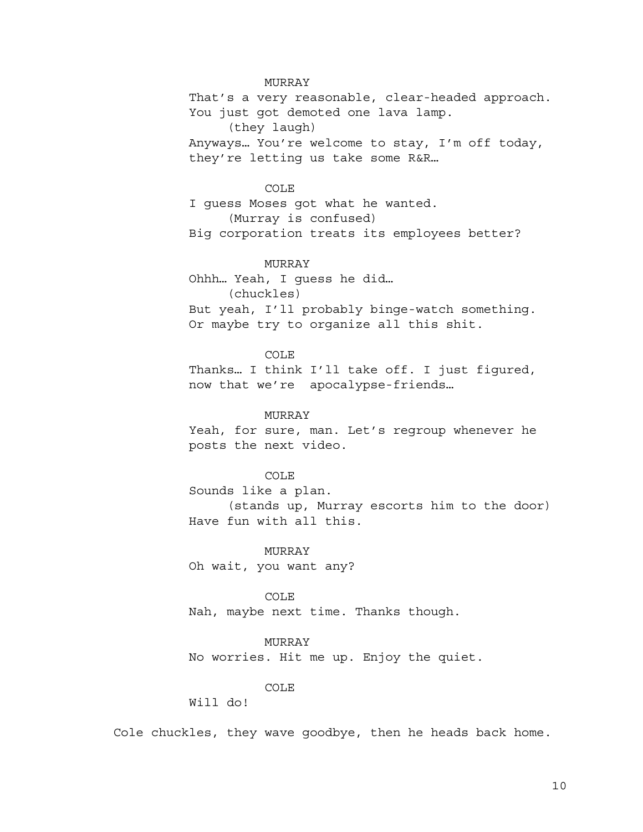That's a very reasonable, clear-headed approach. You just got demoted one lava lamp. (they laugh) Anyways… You're welcome to stay, I'm off today, they're letting us take some R&R…

# COLE

I guess Moses got what he wanted. (Murray is confused) Big corporation treats its employees better?

## MURRAY

Ohhh… Yeah, I guess he did…

(chuckles)

But yeah, I'll probably binge-watch something. Or maybe try to organize all this shit.

### COLE

Thanks… I think I'll take off. I just figured, now that we're apocalypse-friends…

# MURRAY

Yeah, for sure, man. Let's regroup whenever he posts the next video.

# COLE

Sounds like a plan. (stands up, Murray escorts him to the door) Have fun with all this.

# MURRAY

Oh wait, you want any?

# COLE

Nah, maybe next time. Thanks though.

# MURRAY

No worries. Hit me up. Enjoy the quiet.

# COLE

Will do!

Cole chuckles, they wave goodbye, then he heads back home.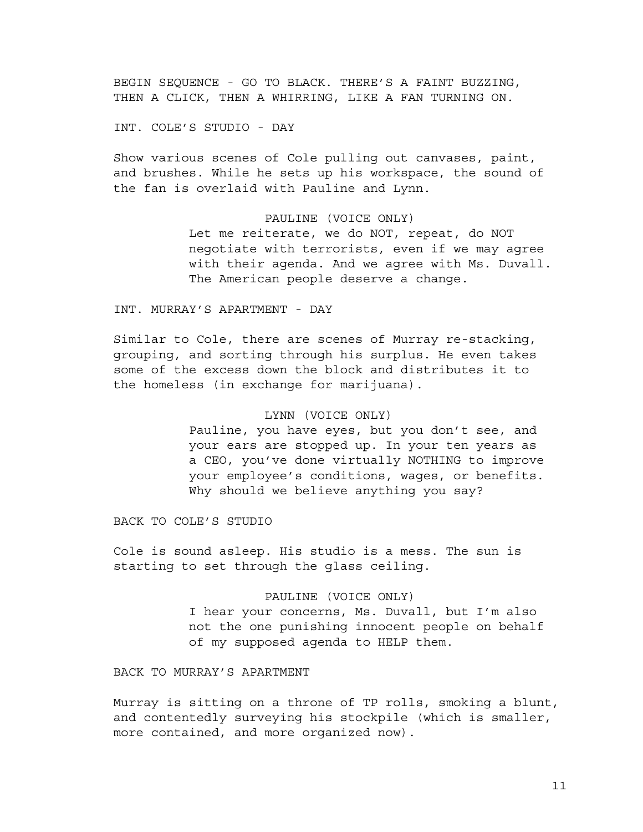BEGIN SEQUENCE - GO TO BLACK. THERE'S A FAINT BUZZING, THEN A CLICK, THEN A WHIRRING, LIKE A FAN TURNING ON.

INT. COLE'S STUDIO - DAY

Show various scenes of Cole pulling out canvases, paint, and brushes. While he sets up his workspace, the sound of the fan is overlaid with Pauline and Lynn.

# PAULINE (VOICE ONLY)

Let me reiterate, we do NOT, repeat, do NOT negotiate with terrorists, even if we may agree with their agenda. And we agree with Ms. Duvall. The American people deserve a change.

INT. MURRAY'S APARTMENT - DAY

Similar to Cole, there are scenes of Murray re-stacking, grouping, and sorting through his surplus. He even takes some of the excess down the block and distributes it to the homeless (in exchange for marijuana).

# LYNN (VOICE ONLY)

Pauline, you have eyes, but you don't see, and your ears are stopped up. In your ten years as a CEO, you've done virtually NOTHING to improve your employee's conditions, wages, or benefits. Why should we believe anything you say?

BACK TO COLE'S STUDIO

Cole is sound asleep. His studio is a mess. The sun is starting to set through the glass ceiling.

## PAULINE (VOICE ONLY)

I hear your concerns, Ms. Duvall, but I'm also not the one punishing innocent people on behalf of my supposed agenda to HELP them.

BACK TO MURRAY'S APARTMENT

Murray is sitting on a throne of TP rolls, smoking a blunt, and contentedly surveying his stockpile (which is smaller, more contained, and more organized now).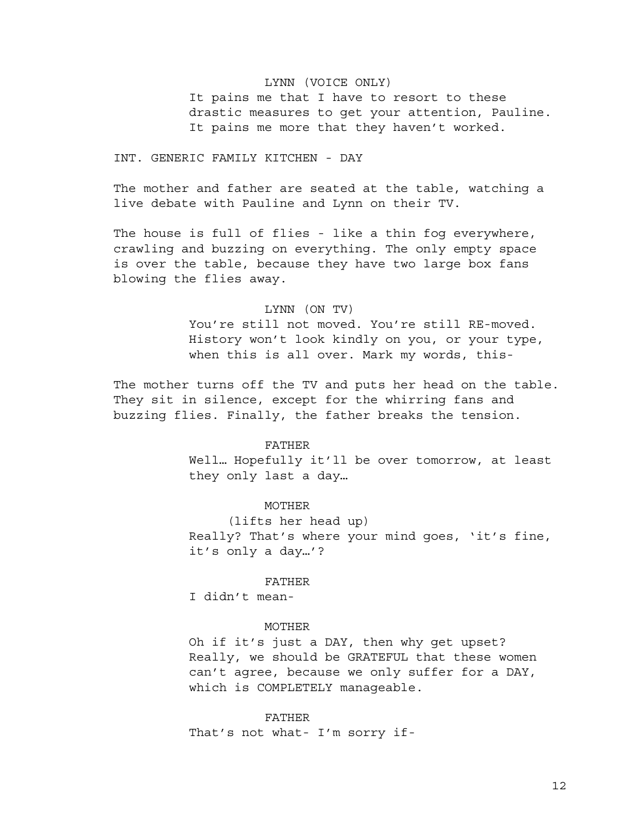# LYNN (VOICE ONLY)

It pains me that I have to resort to these drastic measures to get your attention, Pauline. It pains me more that they haven't worked.

INT. GENERIC FAMILY KITCHEN - DAY

The mother and father are seated at the table, watching a live debate with Pauline and Lynn on their TV.

The house is full of flies - like a thin fog everywhere, crawling and buzzing on everything. The only empty space is over the table, because they have two large box fans blowing the flies away.

# LYNN (ON TV)

You're still not moved. You're still RE-moved. History won't look kindly on you, or your type, when this is all over. Mark my words, this-

The mother turns off the TV and puts her head on the table. They sit in silence, except for the whirring fans and buzzing flies. Finally, the father breaks the tension.

# FATHER

Well… Hopefully it'll be over tomorrow, at least they only last a day…

### MOTHER

(lifts her head up) Really? That's where your mind goes, 'it's fine, it's only a day…'?

#### FATHER

I didn't mean-

#### MOTHER

Oh if it's just a DAY, then why get upset? Really, we should be GRATEFUL that these women can't agree, because we only suffer for a DAY, which is COMPLETELY manageable.

FATHER That's not what- I'm sorry if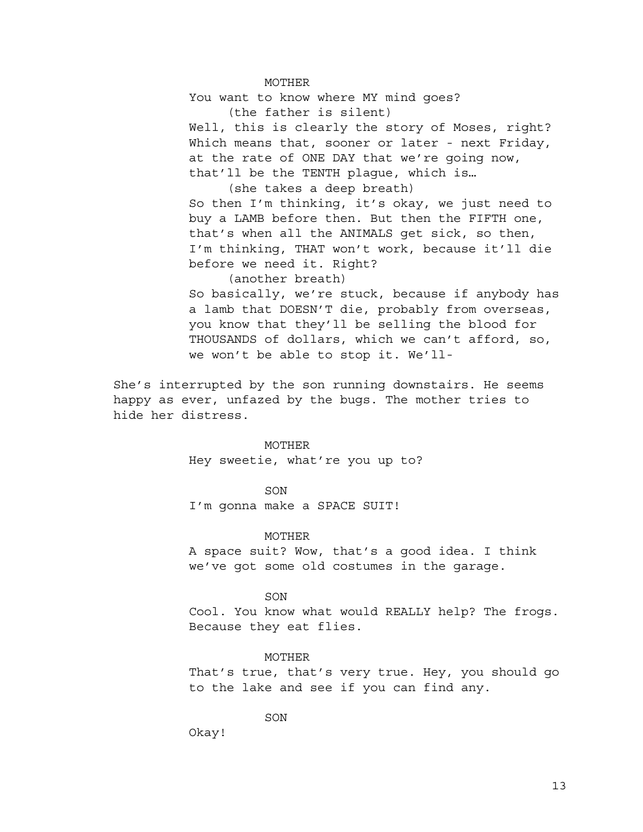MOTHER

You want to know where MY mind goes?

(the father is silent)

Well, this is clearly the story of Moses, right? Which means that, sooner or later - next Friday, at the rate of ONE DAY that we're going now, that'll be the TENTH plague, which is…

(she takes a deep breath)

So then I'm thinking, it's okay, we just need to buy a LAMB before then. But then the FIFTH one, that's when all the ANIMALS get sick, so then, I'm thinking, THAT won't work, because it'll die before we need it. Right?

(another breath) So basically, we're stuck, because if anybody has a lamb that DOESN'T die, probably from overseas, you know that they'll be selling the blood for THOUSANDS of dollars, which we can't afford, so, we won't be able to stop it. We'll-

She's interrupted by the son running downstairs. He seems happy as ever, unfazed by the bugs. The mother tries to hide her distress.

### MOTHER

Hey sweetie, what're you up to?

# SON

I'm gonna make a SPACE SUIT!

### MOTHER

A space suit? Wow, that's a good idea. I think we've got some old costumes in the garage.

SON

Cool. You know what would REALLY help? The frogs. Because they eat flies.

### MOTHER

That's true, that's very true. Hey, you should go to the lake and see if you can find any.

SON

Okay!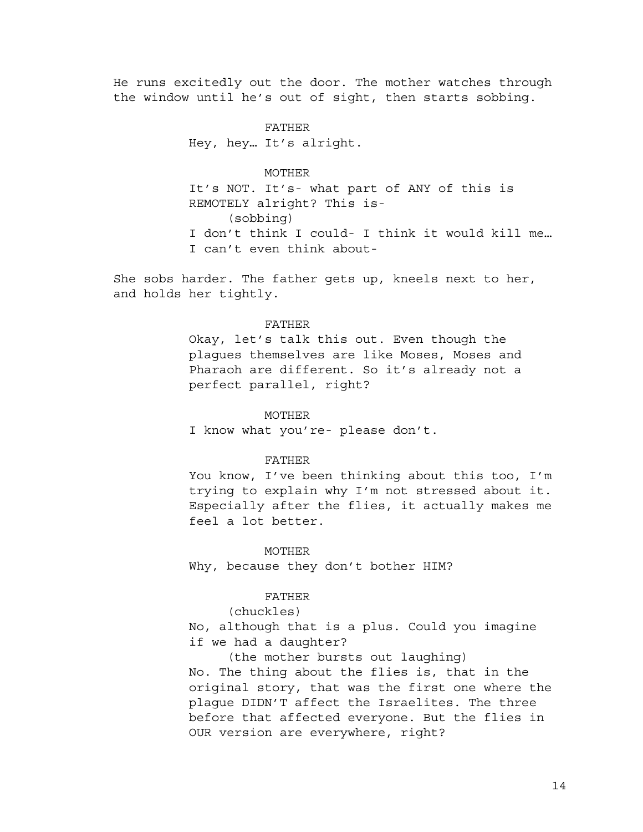He runs excitedly out the door. The mother watches through the window until he's out of sight, then starts sobbing.

> FATHER Hey, hey… It's alright.

## MOTHER

It's NOT. It's- what part of ANY of this is REMOTELY alright? This is- (sobbing) I don't think I could- I think it would kill me… I can't even think about-

She sobs harder. The father gets up, kneels next to her, and holds her tightly.

## FATHER

Okay, let's talk this out. Even though the plagues themselves are like Moses, Moses and Pharaoh are different. So it's already not a perfect parallel, right?

#### MOTHER

I know what you're- please don't.

### FATHER

You know, I've been thinking about this too, I'm trying to explain why I'm not stressed about it. Especially after the flies, it actually makes me feel a lot better.

#### MOTHER

Why, because they don't bother HIM?

# FATHER

(chuckles)

No, although that is a plus. Could you imagine if we had a daughter?

(the mother bursts out laughing)

No. The thing about the flies is, that in the original story, that was the first one where the plague DIDN'T affect the Israelites. The three before that affected everyone. But the flies in OUR version are everywhere, right?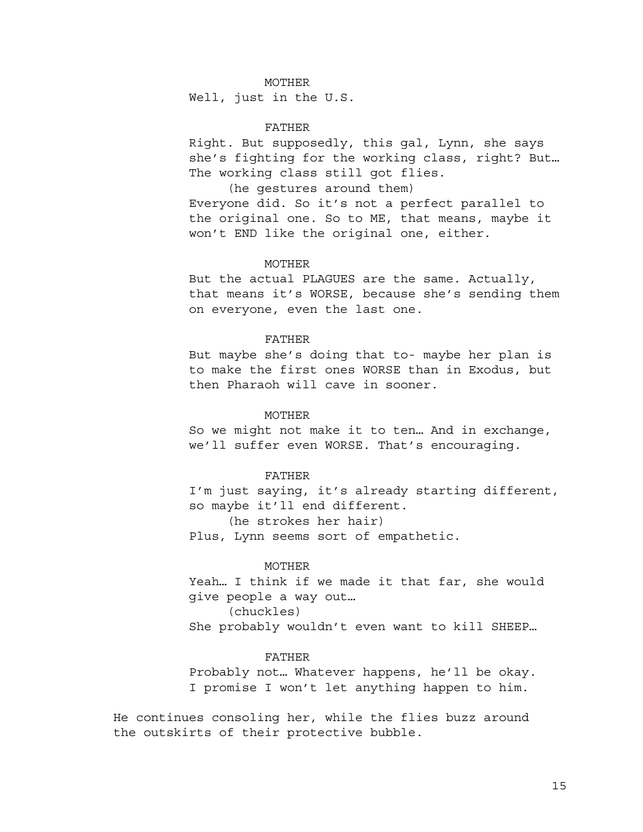### MOTHER

Well, just in the U.S.

### FATHER

Right. But supposedly, this gal, Lynn, she says she's fighting for the working class, right? But… The working class still got flies.

(he gestures around them) Everyone did. So it's not a perfect parallel to the original one. So to ME, that means, maybe it won't END like the original one, either.

## MOTHER

But the actual PLAGUES are the same. Actually, that means it's WORSE, because she's sending them on everyone, even the last one.

### FATHER

But maybe she's doing that to- maybe her plan is to make the first ones WORSE than in Exodus, but then Pharaoh will cave in sooner.

# MOTHER

So we might not make it to ten… And in exchange, we'll suffer even WORSE. That's encouraging.

### FATHER

I'm just saying, it's already starting different, so maybe it'll end different.

(he strokes her hair)

Plus, Lynn seems sort of empathetic.

# MOTHER

Yeah… I think if we made it that far, she would give people a way out…

(chuckles)

She probably wouldn't even want to kill SHEEP…

### FATHER

Probably not… Whatever happens, he'll be okay. I promise I won't let anything happen to him.

He continues consoling her, while the flies buzz around the outskirts of their protective bubble.